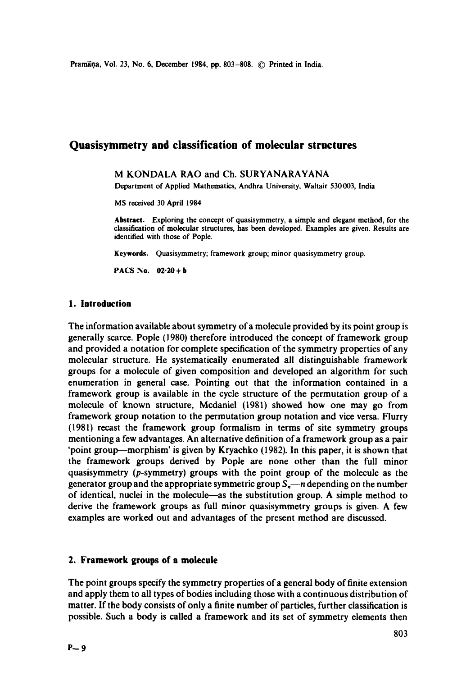Pramana, Vol. 23, No. 6, December 1984, pp. 803-808. © Printed in India.

# **Quasisymmetry and classification of molecular structures**

## M KONDALA RAO and Ch. SURYANARAYANA

Department of Applied Mathematics, Andhra University, Waltair 530003, India

MS received 30 April 1984

**Abstract.** Exploring the concept of quasisymmetry, a simple and elegant method, for the classification of molecular structures, has been developed. Examples are given. Results are identified with those of Pople.

**Keywords.** Quasisymmetry; framework group; minor quasisymmetry group.

**PACS No. 02.20 + b** 

# **1. Introduction**

The information available about symmetry of a molecule provided by its point group is generally scarce. Pople (1980) therefore introduced the concept of framework group and provided a notation for complete specification of the symmetry properties of any molecular structure. He systematically enumerated all distinguishable framework groups for a molecule of given composition and developed an algorithm for such enumeration in general case. Pointing out that the information contained in a framework group is available in the cycle structure of the permutation group of a molecule of known structure, Mcdaniel (1981) showed how one may go from framework group notation to the permutation group notation and vice versa. Flurry (1981) recast the framework group formalism in terms of site symmetry groups mentioning a few advantages. An alternative definition of a framework group as a pair 'point group--morphism' is given by Kryachko (1982). In this paper, it is shown that the framework groups derived by Pople are none other than the full minor quasisymmetry (p-symmetry) groups with the point group of the molecule as the generator group and the appropriate symmetric group *S,,--n* depending on the number of identical, nuclei in the molecule as the substitution group. A simple method to derive the framework groups as full minor quasisymmetry groups is given. A few examples are worked out and advantages of the present method are discussed.

# **2. Framework groups of n molecule**

The point groups specify the symmetry properties of a general body of finite extension and apply them to all types of bodies including those with a continuous distribution of matter. If the body consists of only a finite number of particles, further classification is possible. Such a body is called a framework and its set of symmetry elements then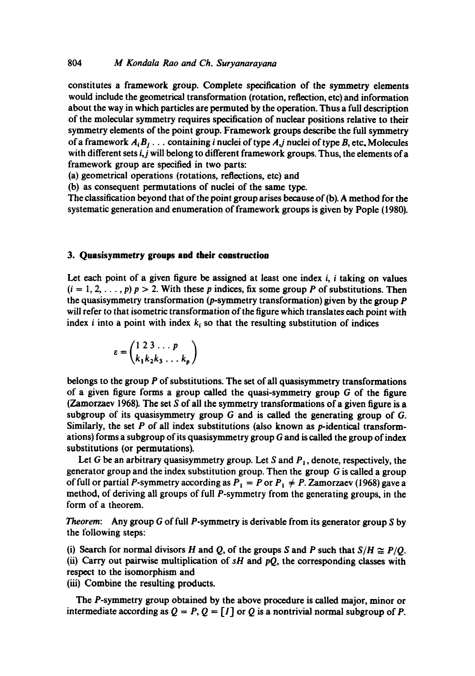# 804 *M Kondala Rao and Ch. Suryanarayana*

constitutes a framework group. Complete specification of the symmetry elements would include the geometrical transformation (rotation, reflection, etc) and information about the way in which particles are permuted by the operation. Thus a full description of the molecular symmetry requires specification of nuclear positions relative to their symmetry elements of the point group. Framework groups describe the full symmetry of a framework  $A_i B_j$ ... containing *i* nuclei of type  $A_j$  nuclei of type  $B$ , etc. Molecules with different sets *i,j* will belong to different framework groups. Thus, the elements of a framework group are specified in two parts:

(a) geometrical operations (rotations, reflections, etc) and

(b) as consequent permutations of nuclei of the same type.

The classification beyond that of the point group arises because of (b). A method for the systematic generation and enumeration of framework groups is given by Pople (1980).

#### **3. Quasisymmetry groups and their construction**

Let each point of a given figure be assigned at least one index  $i$ ,  $i$  taking on values  $(i = 1, 2, \ldots, p)$   $p > 2$ . With these p indices, fix some group P of substitutions. Then the quasisymmetry transformation ( $p$ -symmetry transformation) given by the group  $P$ will refer to that isometric transformation of the figure which translates each point with index *i* into a point with index  $k_i$  so that the resulting substitution of indices

$$
\varepsilon = \begin{pmatrix} 1 & 2 & 3 & \dots & p \\ k_1 & k_2 & k_3 & \dots & k_p \end{pmatrix}
$$

belongs to the group  $P$  of substitutions. The set of all quasisymmetry transformations of a given figure forms a group called the quasi-symmetry group G of the figure (Zamorzaev 1968). The set S of all the symmetry transformations of a given figure is a subgroup of its quasisymmetry group  $G$  and is called the generating group of  $G$ . Similarly, the set  $P$  of all index substitutions (also known as  $p$ -identical transformations) forms a subgroup of its quasisymmetry group  $G$  and is called the group of index substitutions (or permutations).

Let G be an arbitrary quasisymmetry group. Let S and  $P_1$ , denote, respectively, the generator group and the index substitution group. Then the group G is called a group of full or partial P-symmetry according as  $P_1 = P$  or  $P_1 \neq P$ . Zamorzaev (1968) gave a method, of deriving all groups of full P-symmetry from the generating groups, in the form of a theorem.

*Theorem:* Any group G of full P-symmetry is derivable from its generator group S by the following steps:

(i) Search for normal divisors H and Q, of the groups S and P such that  $S/H \cong P/O$ . (ii) Carry out pairwise multiplication of *sH* and *pQ,* the corresponding classes with respect to the isomorphism and

(iii) Combine the resulting products.

The P-symmetry group obtained by the above procedure is called major, minor or intermediate according as  $Q = P$ ,  $Q = [I]$  or  $Q$  is a nontrivial normal subgroup of P.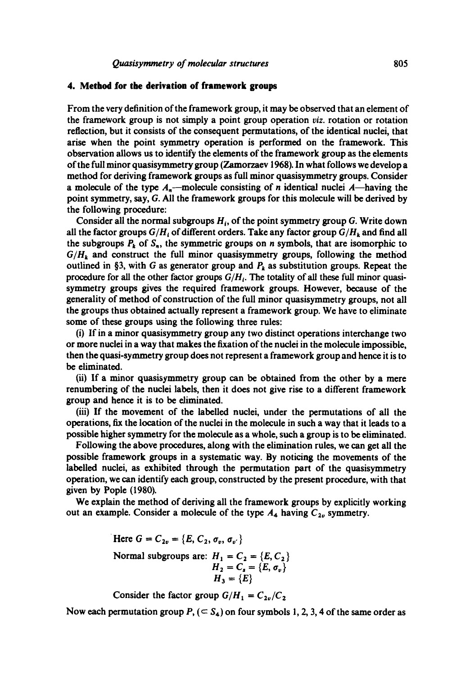# **4. Method for the derivation of framework groups**

From the very definition of the framework group, it may be observed that an element of the frameWork group is not simply a point group operation *viz.* rotation or rotation reflection, but it consists of the consequent permutations, of the identical nuclei, that arise when the point symmetry operation is performed on the framework. This observation allows us to identify the elements of the framework group as the elements of the full minor quasisymmetry group (Zamorzaev 1968). In what follows we develop a method for deriving framework groups as full minor quasisymmetry groups. Consider a molecule of the type  $A_n$ --molecule consisting of *n* identical nuclei  $A$ -having the point symmetry, say, G. All the framework groups for this molecule will be derived by the following procedure:

Consider all the normal subgroups  $H_i$ , of the point symmetry group G. Write down all the factor groups  $G/H_i$  of different orders. Take any factor group  $G/H_k$  and find all the subgroups  $P_k$  of  $S_n$ , the symmetric groups on n symbols, that are isomorphic to  $G/H_k$  and construct the full minor quasisymmetry groups, following the method outlined in §3, with G as generator group and  $P_k$  as substitution groups. Repeat the procedure for all the other factor groups  $G/H_i$ . The totality of all these full minor quasisymmetry groups gives the required framework groups. However, because of the generality of method of construction of the full minor quasisymmetry groups, not all the groups thus obtained actually represent a framework group. We have to eliminate some of these groups using the following three rules:

(i) If in a minor quasisymmetry group any two distinct operations interchange two or more nuclei in a way that makes the fixation of the nuclei in the molecule impossible, then the quasi-symmetry group does not represent a framework group and hence it is to be eliminated.

(ii) If a minor quasisymmetry group can be obtained from the other by a mere renumbering of the nuclei labels, then it does not give rise to a different framework group and hence it is to be eliminated.

(iii) If the movement of the labelled nuclei, under the permutations of all the operations, fix the location of the nuclei in the molecule in such a way that it leads to a possible higher symmetry for the molecule as a whole, such a group is to be eliminated.

Following the above procedures, along with the elimination rules, we can get all the possible framework groups in a systematic way. By noticing the movements of the labelled nuclei, as exhibited through the permutation part of the quasisymmetry operation, we can identify each group, constructed by the present procedure, with that given by Pople (1980).

We explain the method of deriving all the framework groups by explicitly working out an example. Consider a molecule of the type  $A_4$  having  $C_{2v}$  symmetry.

> Here  $G = C_{2v} = \{E, C_2, \sigma_v, \sigma_v\}$ Normal subgroups are:  $H_1 = C_2 = \{E, C_2\}$  $H_2 = C_s = \{E, \sigma_v\}$ **H3 =**

Consider the factor group  $G/H_1 = C_{2\nu}/C_2$ 

Now each permutation group  $P$ , ( $\subset S_4$ ) on four symbols 1, 2, 3, 4 of the same order as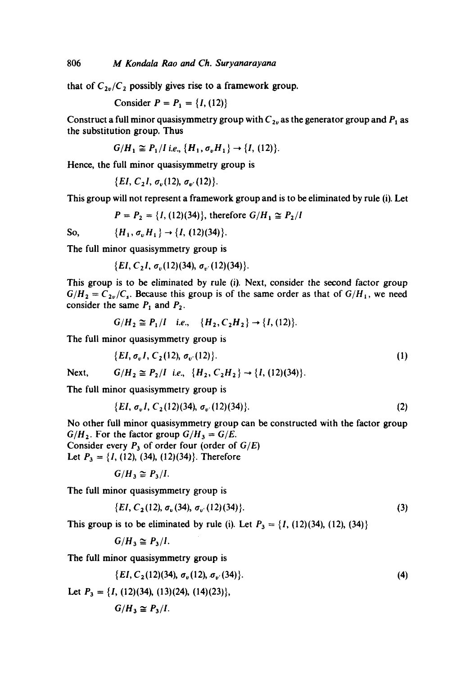that of  $C_{2v}/C_2$  possibly gives rise to a framework group.

Consider  $P = P_1 = \{I, (12)\}\$ 

Construct a full minor quasisymmetry group with  $C_{2v}$  as the generator group and  $P_1$  as the substitution group. Thus

$$
G/H_1 \cong P_1/I
$$
 i.e.,  $\{H_1, \sigma_v H_1\} \to \{I, (12)\}.$ 

Hence, the full minor quasisymmetry group is

$$
\{EI, C_2I, \sigma_v(12), \sigma_{v'}(12)\}.
$$

This group will not represent a framework group and is to be eliminated by rule (i). Let

$$
P = P_2 = \{I, (12)(34)\}, \text{ therefore } G/H_1 \cong P_2/I
$$

So,  $\{H_1, \sigma_v H_1\} \rightarrow \{I, (12)(34)\}.$ 

The full minor quasisymmetry group is

 ${EI, C<sub>2</sub>I, \sigma<sub>n</sub>(12)(34), \sigma<sub>n</sub>(12)(34)}.$ 

This group is to be eliminated by rule (i). Next, consider the second factor group  $G/H_2 = C_{2\nu}/C_s$ . Because this group is of the same order as that of  $G/H_1$ , we need consider the same  $P_1$  and  $P_2$ .

$$
G/H_2 \cong P_1/I \quad i.e., \quad \{H_2, C_2H_2\} \to \{I, (12)\}.
$$

The full minor quasisymmetry group is

$$
\{EI, \sigma_v I, C_2(12), \sigma_{v'}(12)\}.
$$
 (1)

Next,  $G/H_2 \cong P_2/I$  i.e.,  $\{H_2, C_2H_2\} \rightarrow \{I, (12)(34)\}.$ 

The full minor quasisymmetry group is

$$
\{EI, \sigma_v I, C_2(12)(34), \sigma_{v'}(12)(34)\}.
$$
 (2)

No other full minor quasisymmetry group can be constructed with the factor group  $G/H_2$ . For the factor group  $G/H_3 = G/E$ . Consider every  $P_3$  of order four (order of  $G/E$ ) Let  $P_3 = \{I, (12), (34), (12)(34)\}.$  Therefore

$$
G/H_3\cong P_3/I.
$$

The full minor quasisymmetry group is

$$
\{EI, C_2(12), \sigma_v(34), \sigma_{v'}(12)(34)\}.
$$
 (3)

This group is to be eliminated by rule (i). Let  $P_3 = \{I, (12)(34), (12), (34)\}\$ 

$$
G/H_3\cong P_3/I.
$$

The full minor quasisymmetry group is

$$
\{EI, C_2(12)(34), \sigma_v(12), \sigma_v(34)\}.
$$
 (4)

Let  $P_3 = \{I, (12)(34), (13)(24), (14)(23)\},\$ 

$$
G/H_3\cong P_3/I.
$$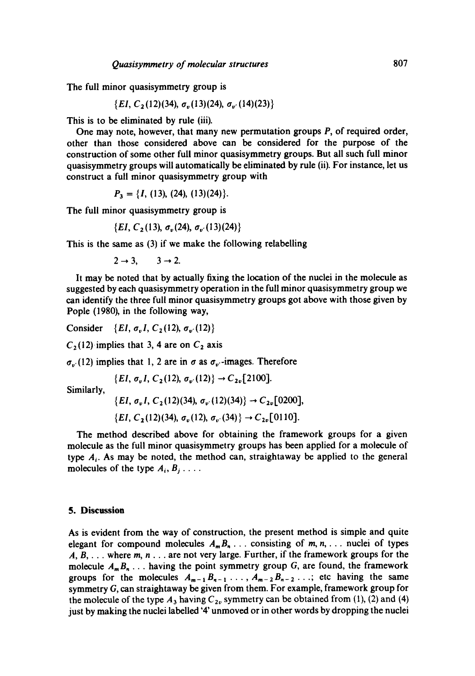The full minor quasisymmetry group is

 $\{EI, C_2(12)(34), \sigma_n(13)(24), \sigma_{n'}(14)(23)\}$ 

This is to be eliminated by rule (iii).

One may note, however, that many new permutation groups P, of required order, other than those considered above can be considered for the purpose of the construction of some other full minor quasisymmetry groups. But all such full minor quasisymmetry groups will automatically be eliminated by rule (ii). For instance, let us construct a full minor quasisymmetry group with

$$
P_3 = \{I, (13), (24), (13)(24)\}.
$$

The full minor quasisymmetry group is

 $\{EI, C_2(13), \sigma_v(24), \sigma_{v'}(13)(24)\}$ 

This is the same as (3) if we make the following relabelling

 $2 \rightarrow 3$ ,  $3 \rightarrow 2$ .

It may be noted that by actually fixing the location of the nuclei in the molecule as suggested by each quasisymmetry operation in the full minor quasisymmetry group we can identify the three full minor quasisymmetry groups got above with those given by Pople (1980), in the following way,

Consider  $\{EI, \sigma_v I, C_2(12), \sigma_v(12)\}\$ 

 $C_2(12)$  implies that 3, 4 are on  $C_2$  axis

 $\sigma_{w}$  (12) implies that 1, 2 are in  $\sigma$  as  $\sigma_{w}$ -images. Therefore

$$
\{EI, \sigma_v I, C_2(12), \sigma_{v'}(12)\} \rightarrow C_{2v}[2100].
$$

Similarly,

$$
\{EI, \sigma_v I, C_2(12)(34), \sigma_v(12)(34)\} \rightarrow C_{2v}[0200],
$$

$$
\{EI, C_2(12)(34), \sigma_v(12), \sigma_{v'}(34)\} \rightarrow C_{2v}[0110].
$$

The method described above for obtaining the framework groups for a given molecule as the full minor quasisymmetry groups has been applied for a molecule of type  $A_i$ . As may be noted, the method can, straightaway be applied to the general molecules of the type  $A_i, B_j, \ldots$ 

#### **5. Discussion**

As is evident from the way of construction, the present method is simple and quite elegant for compound molecules  $A_m B_n$ ... consisting of m, n, ... nuclei of types  $A, B, \ldots$  where  $m, n \ldots$  are not very large. Further, if the framework groups for the molecule  $A_m B_n$ ... having the point symmetry group G, are found, the framework groups for the molecules  $A_{m-1}B_{n-1}$ ...,  $A_{m-2}B_{n-2}$ ...; etc having the same symmetry G, can straightaway be given from them. For example, framework group for the molecule of the type  $A_3$  having  $C_{2v}$  symmetry can be obtained from (1), (2) and (4) just by making the nuclei labelled '4' unmoved or in other words by dropping the nuclei